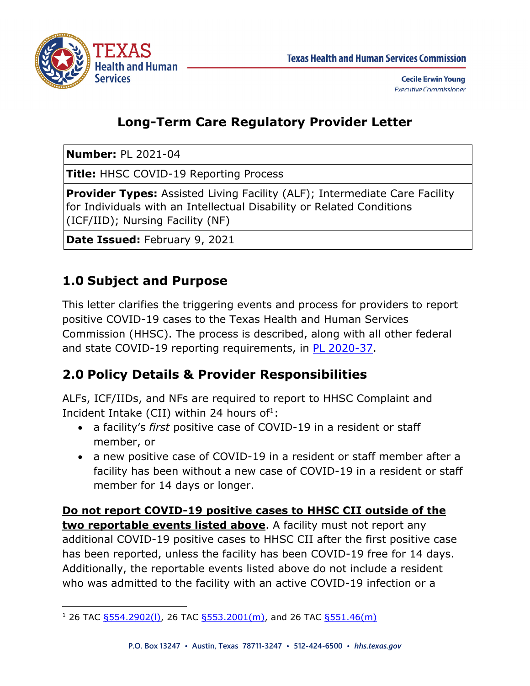

## **Long-Term Care Regulatory Provider Letter**

**Number:** PL 2021-04

**Title:** HHSC COVID-19 Reporting Process

**Provider Types:** Assisted Living Facility (ALF); Intermediate Care Facility for Individuals with an Intellectual Disability or Related Conditions (ICF/IID); Nursing Facility (NF)

**Date Issued:** February 9, 2021

# **1.0 Subject and Purpose**

This letter clarifies the triggering events and process for providers to report positive COVID-19 cases to the Texas Health and Human Services Commission (HHSC). The process is described, along with all other federal and state COVID-19 reporting requirements, in PL 2020-37.

# **2.0 Policy Details & Provider Responsibilities**

ALFs, ICF/IIDs, and NFs are required to report to HHSC Complaint and Incident Intake (CII) within 24 hours of<sup>1</sup>:

- a facility's *first* positive case of COVID-19 in a resident or staff member, or
- a new positive case of COVID-19 in a resident or staff member after a facility has been without a new case of COVID-19 in a resident or staff member for 14 days or longer.

**Do not report COVID-19 positive cases to HHSC CII outside of the two reportable events listed above**. A facility must not report any additional COVID-19 positive cases to HHSC CII after the first positive case has been reported, unless the facility has been COVID-19 free for 14 days. Additionally, the reportable events listed above do not include a resident who was admitted to the facility with an active COVID-19 infection or a

j <sup>1</sup> 26 TAC §554.2902(I), 26 TAC §553.2001(m), and 26 TAC §551.46(m)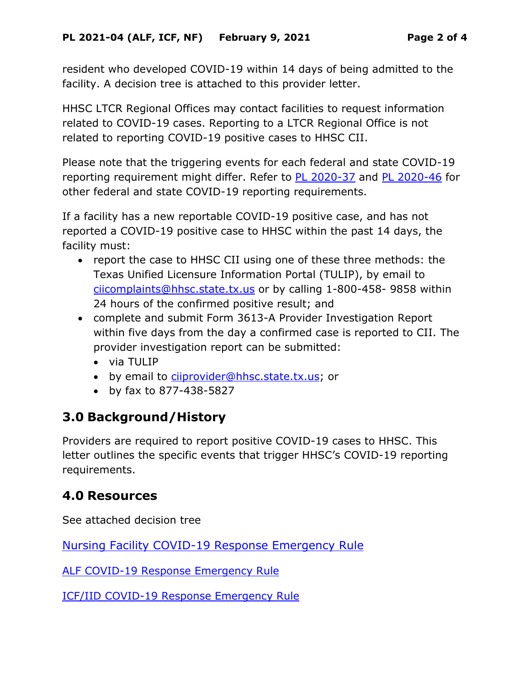resident who developed COVID-19 within 14 days of being admitted to the facility. A decision tree is attached to this provider letter.

HHSC LTCR Regional Offices may contact facilities to request information related to COVID-19 cases. Reporting to a LTCR Regional Office is not related to reporting COVID-19 positive cases to HHSC CII.

Please note that the triggering events for each federal and state COVID-19 reporting requirement might differ. Refer to **PL 2020-37** and PL 2020-46 for other federal and state COVID-19 reporting requirements.

If a facility has a new reportable COVID-19 positive case, and has not reported a COVID-19 positive case to HHSC within the past 14 days, the facility must:

- report the case to HHSC CII using one of these three methods: the Texas Unified Licensure Information Portal (TULIP), by email to [ciicomplaints@hhsc.state.tx.us](mailto:ciicomplaints@hhsc.state.tx.us) or by calling 1-800-458- 9858 within 24 hours of the confirmed positive result; and
- complete and submit Form 3613-A Provider Investigation Report within five days from the day a confirmed case is reported to CII. The provider investigation report can be submitted:
	- via TULIP
	- by email to [ciiprovider@hhsc.state.tx.us](mailto:ciiprovider@hhsc.state.tx.us); or
	- by fax to 877-438-5827

### **3.0 Background/History**

Providers are required to report positive COVID-19 cases to HHSC. This letter outlines the specific events that trigger HHSC's COVID-19 reporting requirements.

### **4.0 Resources**

See attached decision tree

Nursing Facility COVID-19 Response Emergency Rule

ALF COVID-19 Response Emergency Rule

ICF/IID COVID-19 Response Emergency Rule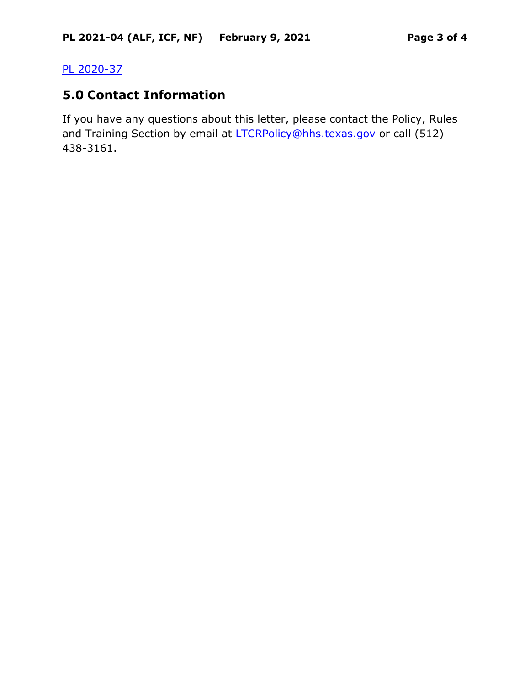#### PL 2020-37

#### **5.0 Contact Information**

If you have any questions about this letter, please contact the Policy, Rules and Training Section by email at **LTCRPolicy@hhs.texas.gov** or call (512) 438-3161.